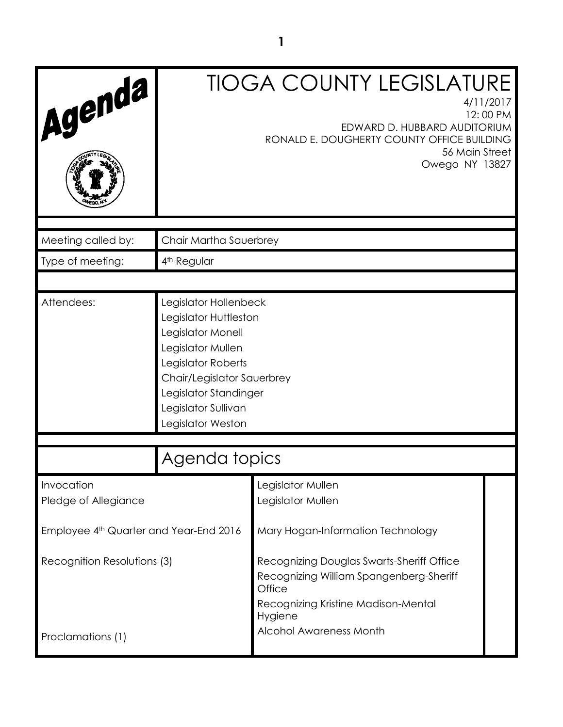| Agenda                                             |                                                                                                                                                                                                                   | <b>TIOGA COUNTY LEGISLATURE</b><br>4/11/2017<br>EDWARD D. HUBBARD AUDITORIUM<br>RONALD E. DOUGHERTY COUNTY OFFICE BUILDING<br>56 Main Street<br>Owego NY 13827 | 12:00 PM |
|----------------------------------------------------|-------------------------------------------------------------------------------------------------------------------------------------------------------------------------------------------------------------------|----------------------------------------------------------------------------------------------------------------------------------------------------------------|----------|
| Meeting called by:                                 | Chair Martha Sauerbrey                                                                                                                                                                                            |                                                                                                                                                                |          |
| Type of meeting:                                   | 4 <sup>th</sup> Regular                                                                                                                                                                                           |                                                                                                                                                                |          |
|                                                    |                                                                                                                                                                                                                   |                                                                                                                                                                |          |
| Attendees:                                         | Legislator Hollenbeck<br>Legislator Huttleston<br>Legislator Monell<br>Legislator Mullen<br>Legislator Roberts<br>Chair/Legislator Sauerbrey<br>Legislator Standinger<br>Legislator Sullivan<br>Legislator Weston |                                                                                                                                                                |          |
|                                                    | Agenda topics                                                                                                                                                                                                     |                                                                                                                                                                |          |
| Invocation<br>Pledge of Allegiance                 |                                                                                                                                                                                                                   | Legislator Mullen<br>Legislator Mullen                                                                                                                         |          |
| Employee 4 <sup>th</sup> Quarter and Year-End 2016 |                                                                                                                                                                                                                   | Mary Hogan-Information Technology                                                                                                                              |          |
| Recognition Resolutions (3)                        |                                                                                                                                                                                                                   | Recognizing Douglas Swarts-Sheriff Office<br>Recognizing William Spangenberg-Sheriff<br>Office<br>Recognizing Kristine Madison-Mental<br>Hygiene               |          |
| Proclamations (1)                                  |                                                                                                                                                                                                                   | Alcohol Awareness Month                                                                                                                                        |          |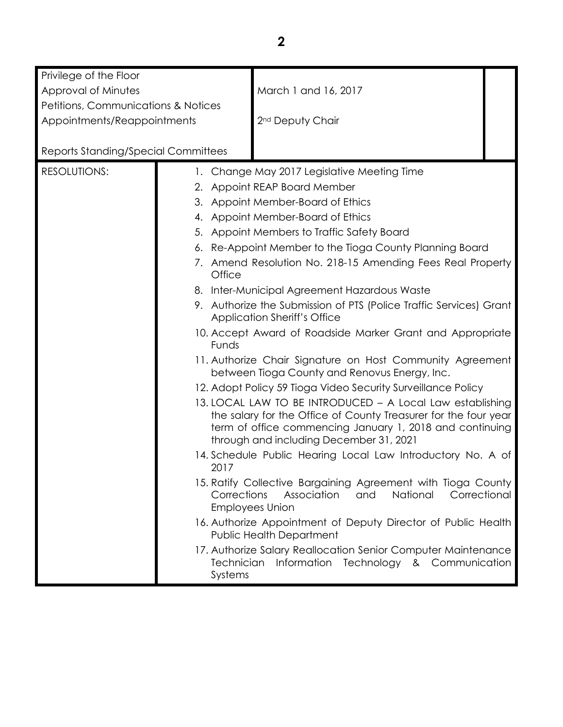| Privilege of the Floor                         |                                                                                                                                                                                                                                     |                                                                                                                                          |  |
|------------------------------------------------|-------------------------------------------------------------------------------------------------------------------------------------------------------------------------------------------------------------------------------------|------------------------------------------------------------------------------------------------------------------------------------------|--|
| Approval of Minutes                            |                                                                                                                                                                                                                                     | March 1 and 16, 2017                                                                                                                     |  |
| <b>Petitions, Communications &amp; Notices</b> |                                                                                                                                                                                                                                     |                                                                                                                                          |  |
| Appointments/Reappointments                    |                                                                                                                                                                                                                                     | 2 <sup>nd</sup> Deputy Chair                                                                                                             |  |
|                                                |                                                                                                                                                                                                                                     |                                                                                                                                          |  |
| <b>Reports Standing/Special Committees</b>     |                                                                                                                                                                                                                                     |                                                                                                                                          |  |
| <b>RESOLUTIONS:</b>                            |                                                                                                                                                                                                                                     | 1. Change May 2017 Legislative Meeting Time                                                                                              |  |
|                                                |                                                                                                                                                                                                                                     | 2. Appoint REAP Board Member                                                                                                             |  |
|                                                |                                                                                                                                                                                                                                     | 3. Appoint Member-Board of Ethics                                                                                                        |  |
|                                                |                                                                                                                                                                                                                                     | 4. Appoint Member-Board of Ethics                                                                                                        |  |
|                                                |                                                                                                                                                                                                                                     | 5. Appoint Members to Traffic Safety Board                                                                                               |  |
|                                                |                                                                                                                                                                                                                                     | 6. Re-Appoint Member to the Tioga County Planning Board                                                                                  |  |
|                                                | Office                                                                                                                                                                                                                              | 7. Amend Resolution No. 218-15 Amending Fees Real Property                                                                               |  |
|                                                |                                                                                                                                                                                                                                     | 8. Inter-Municipal Agreement Hazardous Waste                                                                                             |  |
|                                                |                                                                                                                                                                                                                                     | 9. Authorize the Submission of PTS (Police Traffic Services) Grant<br><b>Application Sheriff's Office</b>                                |  |
|                                                | 10. Accept Award of Roadside Marker Grant and Appropriate<br>Funds                                                                                                                                                                  |                                                                                                                                          |  |
|                                                | 11. Authorize Chair Signature on Host Community Agreement<br>between Tioga County and Renovus Energy, Inc.                                                                                                                          |                                                                                                                                          |  |
|                                                | 12. Adopt Policy 59 Tioga Video Security Surveillance Policy                                                                                                                                                                        |                                                                                                                                          |  |
|                                                | 13. LOCAL LAW TO BE INTRODUCED - A Local Law establishing<br>the salary for the Office of County Treasurer for the four year<br>term of office commencing January 1, 2018 and continuing<br>through and including December 31, 2021 |                                                                                                                                          |  |
|                                                | 2017                                                                                                                                                                                                                                | 14. Schedule Public Hearing Local Law Introductory No. A of                                                                              |  |
|                                                | Corrections                                                                                                                                                                                                                         | 15. Ratify Collective Bargaining Agreement with Tioga County<br>Association<br>National<br>Correctional<br>and<br><b>Employees Union</b> |  |
|                                                |                                                                                                                                                                                                                                     | 16. Authorize Appointment of Deputy Director of Public Health<br><b>Public Health Department</b>                                         |  |
|                                                | <b>Technician</b><br>Systems                                                                                                                                                                                                        | 17. Authorize Salary Reallocation Senior Computer Maintenance<br>Information<br>Technology & Communication                               |  |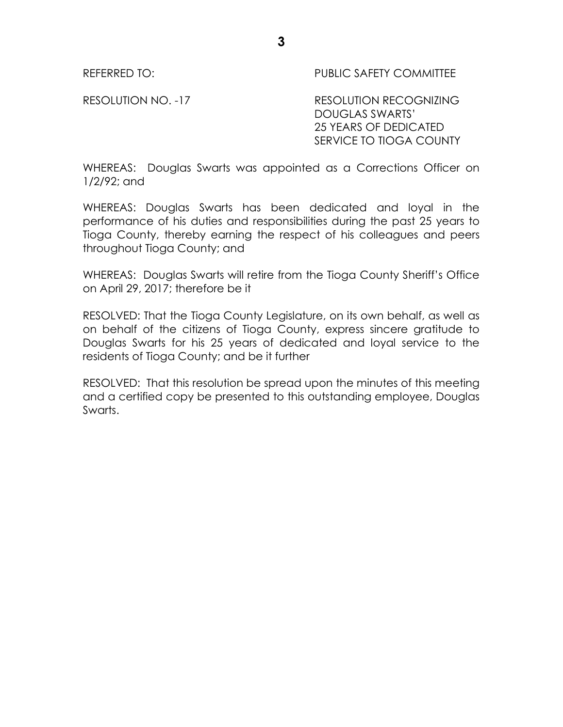REFERRED TO: THE PUBLIC SAFETY COMMITTEE

RESOLUTION NO. -17 RESOLUTION RECOGNIZING DOUGLAS SWARTS' 25 YEARS OF DEDICATED SERVICE TO TIOGA COUNTY

WHEREAS: Douglas Swarts was appointed as a Corrections Officer on 1/2/92; and

WHEREAS: Douglas Swarts has been dedicated and loyal in the performance of his duties and responsibilities during the past 25 years to Tioga County, thereby earning the respect of his colleagues and peers throughout Tioga County; and

WHEREAS: Douglas Swarts will retire from the Tioga County Sheriff's Office on April 29, 2017; therefore be it

RESOLVED: That the Tioga County Legislature, on its own behalf, as well as on behalf of the citizens of Tioga County, express sincere gratitude to Douglas Swarts for his 25 years of dedicated and loyal service to the residents of Tioga County; and be it further

RESOLVED: That this resolution be spread upon the minutes of this meeting and a certified copy be presented to this outstanding employee, Douglas Swarts.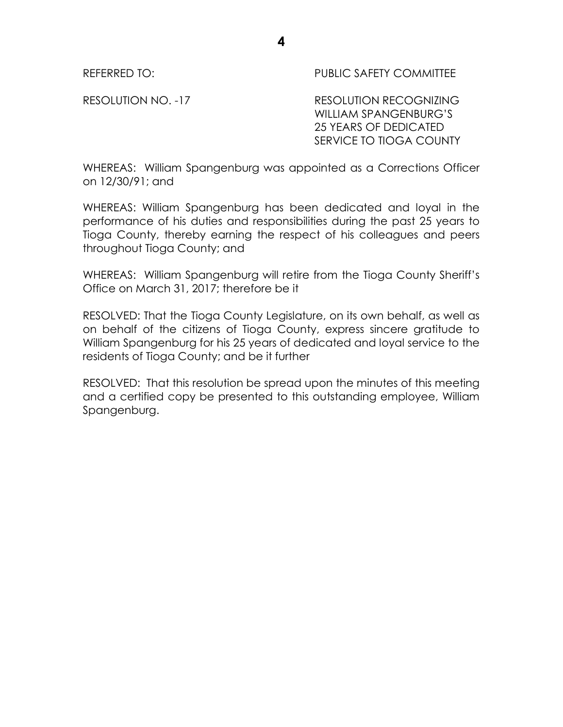REFERRED TO: PUBLIC SAFETY COMMITTEE

RESOLUTION NO. -17 RESOLUTION RECOGNIZING WILLIAM SPANGENBURG'S 25 YEARS OF DEDICATED SERVICE TO TIOGA COUNTY

WHEREAS: William Spangenburg was appointed as a Corrections Officer on 12/30/91; and

WHEREAS: William Spangenburg has been dedicated and loyal in the performance of his duties and responsibilities during the past 25 years to Tioga County, thereby earning the respect of his colleagues and peers throughout Tioga County; and

WHEREAS: William Spangenburg will retire from the Tioga County Sheriff's Office on March 31, 2017; therefore be it

RESOLVED: That the Tioga County Legislature, on its own behalf, as well as on behalf of the citizens of Tioga County, express sincere gratitude to William Spangenburg for his 25 years of dedicated and loyal service to the residents of Tioga County; and be it further

RESOLVED: That this resolution be spread upon the minutes of this meeting and a certified copy be presented to this outstanding employee, William Spangenburg.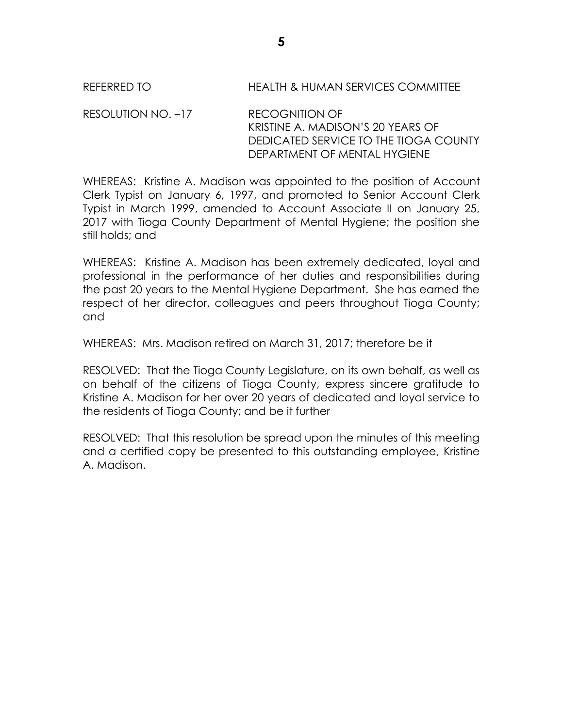REFERRED TO HEALTH & HUMAN SERVICES COMMITTEE

RESOLUTION NO. –17 RECOGNITION OF KRISTINE A. MADISON'S 20 YEARS OF DEDICATED SERVICE TO THE TIOGA COUNTY DEPARTMENT OF MENTAL HYGIENE

WHEREAS: Kristine A. Madison was appointed to the position of Account Clerk Typist on January 6, 1997, and promoted to Senior Account Clerk Typist in March 1999, amended to Account Associate II on January 25, 2017 with Tioga County Department of Mental Hygiene; the position she still holds; and

WHEREAS: Kristine A. Madison has been extremely dedicated, loyal and professional in the performance of her duties and responsibilities during the past 20 years to the Mental Hygiene Department. She has earned the respect of her director, colleagues and peers throughout Tioga County; and

WHEREAS: Mrs. Madison retired on March 31, 2017; therefore be it

RESOLVED: That the Tioga County Legislature, on its own behalf, as well as on behalf of the citizens of Tioga County, express sincere gratitude to Kristine A. Madison for her over 20 years of dedicated and loyal service to the residents of Tioga County; and be it further

RESOLVED: That this resolution be spread upon the minutes of this meeting and a certified copy be presented to this outstanding employee, Kristine A. Madison.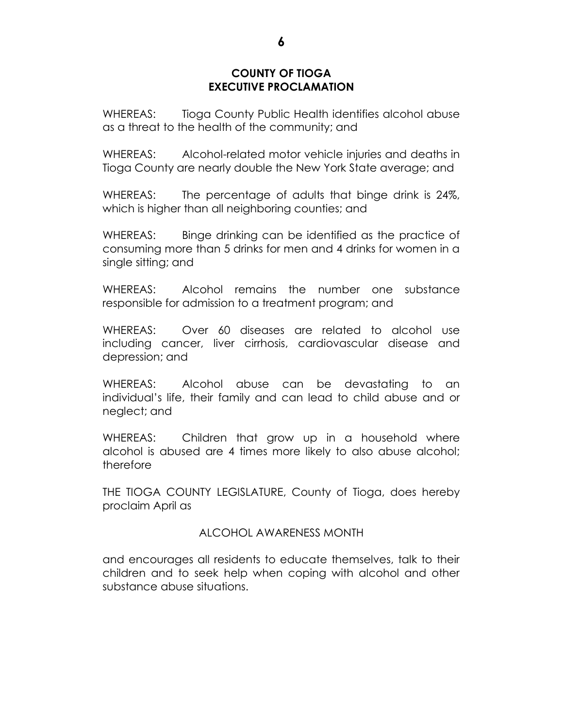#### **COUNTY OF TIOGA EXECUTIVE PROCLAMATION**

WHEREAS: Tioga County Public Health identifies alcohol abuse as a threat to the health of the community; and

WHEREAS: Alcohol-related motor vehicle injuries and deaths in Tioga County are nearly double the New York State average; and

WHEREAS: The percentage of adults that binge drink is 24%, which is higher than all neighboring counties; and

WHEREAS: Binge drinking can be identified as the practice of consuming more than 5 drinks for men and 4 drinks for women in a single sitting; and

WHEREAS: Alcohol remains the number one substance responsible for admission to a treatment program; and

WHEREAS: Over 60 diseases are related to alcohol use including cancer, liver cirrhosis, cardiovascular disease and depression; and

WHEREAS: Alcohol abuse can be devastating to an individual's life, their family and can lead to child abuse and or neglect; and

WHEREAS: Children that grow up in a household where alcohol is abused are 4 times more likely to also abuse alcohol; therefore

THE TIOGA COUNTY LEGISLATURE, County of Tioga, does hereby proclaim April as

#### ALCOHOL AWARENESS MONTH

and encourages all residents to educate themselves, talk to their children and to seek help when coping with alcohol and other substance abuse situations.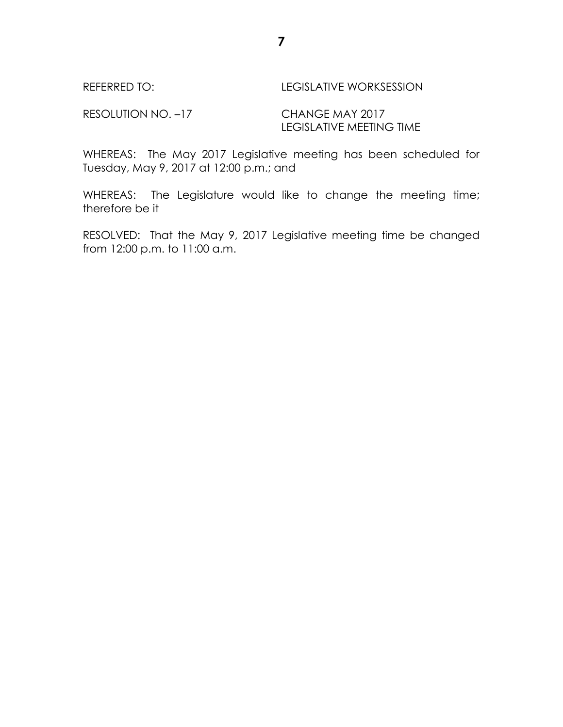| REFERRED TO:       | <b>LEGISLATIVE WORKSESSION</b> |
|--------------------|--------------------------------|
| RESOLUTION NO. –17 | CHANGE MAY 2017                |
|                    | LEGISLATIVE MEETING TIME       |

WHEREAS: The May 2017 Legislative meeting has been scheduled for Tuesday, May 9, 2017 at 12:00 p.m.; and

WHEREAS: The Legislature would like to change the meeting time; therefore be it

RESOLVED: That the May 9, 2017 Legislative meeting time be changed from 12:00 p.m. to 11:00 a.m.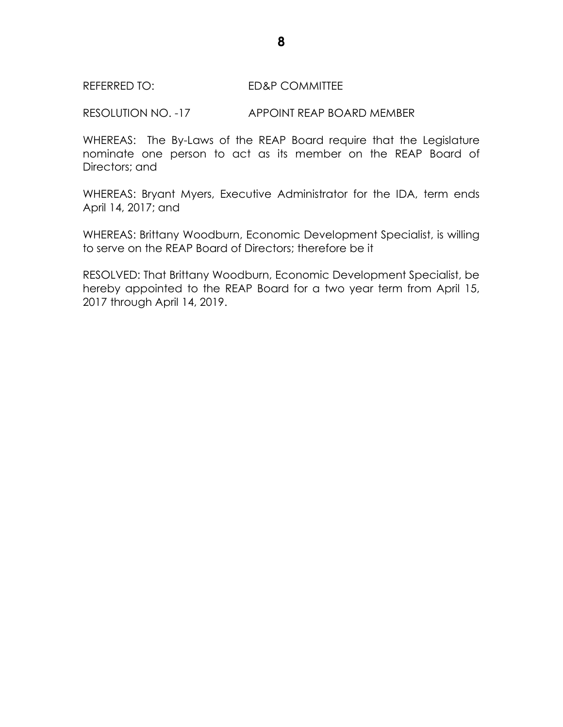#### REFERRED TO: ED&P COMMITTEE

RESOLUTION NO. -17 APPOINT REAP BOARD MEMBER

WHEREAS: The By-Laws of the REAP Board require that the Legislature nominate one person to act as its member on the REAP Board of Directors; and

WHEREAS: Bryant Myers, Executive Administrator for the IDA, term ends April 14, 2017; and

WHEREAS: Brittany Woodburn, Economic Development Specialist, is willing to serve on the REAP Board of Directors; therefore be it

RESOLVED: That Brittany Woodburn, Economic Development Specialist, be hereby appointed to the REAP Board for a two year term from April 15, 2017 through April 14, 2019.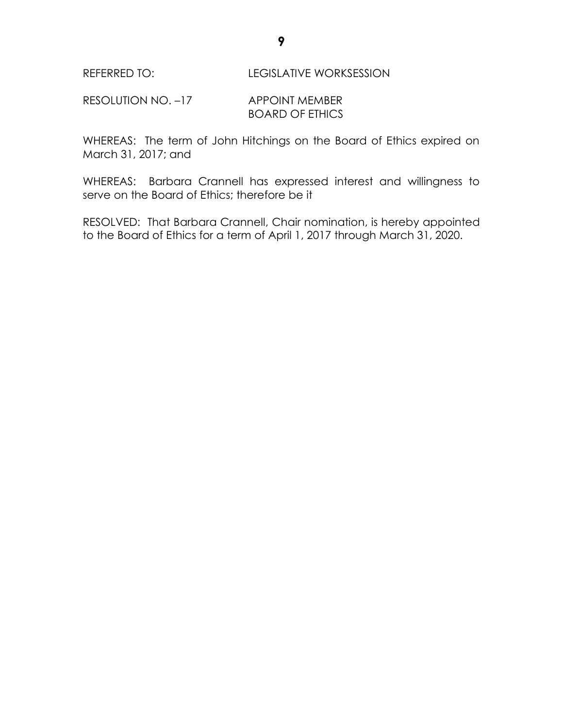RESOLUTION NO. -17 APPOINT MEMBER BOARD OF ETHICS

WHEREAS: The term of John Hitchings on the Board of Ethics expired on March 31, 2017; and

WHEREAS: Barbara Crannell has expressed interest and willingness to serve on the Board of Ethics; therefore be it

RESOLVED: That Barbara Crannell, Chair nomination, is hereby appointed to the Board of Ethics for a term of April 1, 2017 through March 31, 2020.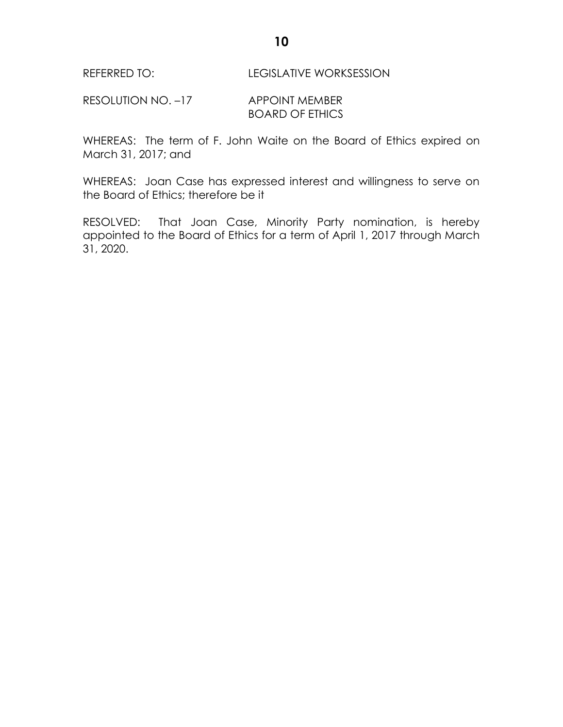#### REFERRED TO: LEGISLATIVE WORKSESSION

RESOLUTION NO. -17 APPOINT MEMBER BOARD OF ETHICS

WHEREAS: The term of F. John Waite on the Board of Ethics expired on March 31, 2017; and

WHEREAS: Joan Case has expressed interest and willingness to serve on the Board of Ethics; therefore be it

RESOLVED: That Joan Case, Minority Party nomination, is hereby appointed to the Board of Ethics for a term of April 1, 2017 through March 31, 2020.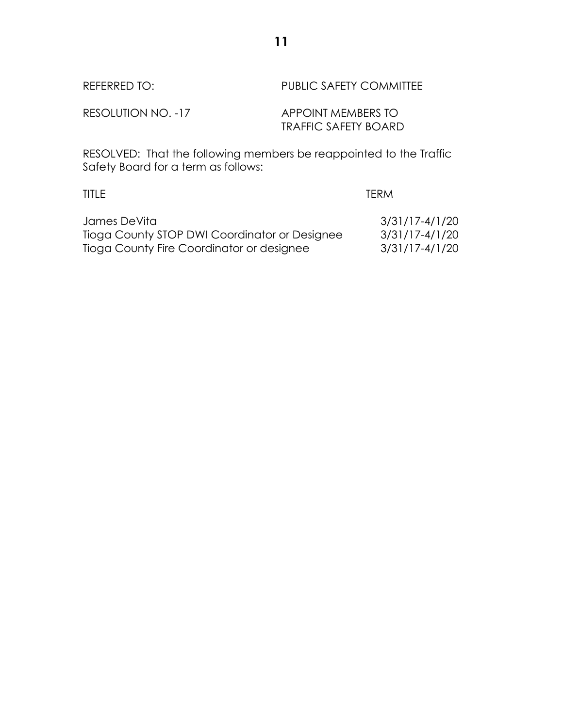| REFERRED TO:       | <b>PUBLIC SAFETY COMMITTEE</b>             |
|--------------------|--------------------------------------------|
| RESOLUTION NO. -17 | APPOINT MEMBERS TO<br>TRAFFIC SAFETY BOARD |

RESOLVED: That the following members be reappointed to the Traffic Safety Board for a term as follows:

TITLE TERM TERM

| James DeVita                                  | 3/31/17-4/1/20 |
|-----------------------------------------------|----------------|
| Tioga County STOP DWI Coordinator or Designee | 3/31/17-4/1/20 |
| Tioga County Fire Coordinator or designee     | 3/31/17-4/1/20 |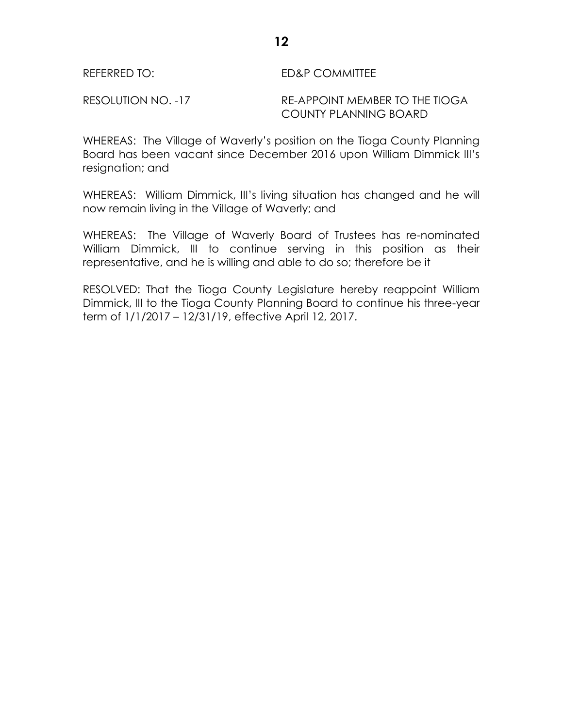# REFERRED TO: ED&P COMMITTEE

RESOLUTION NO. -17 RE-APPOINT MEMBER TO THE TIOGA COUNTY PLANNING BOARD

WHEREAS: The Village of Waverly's position on the Tioga County Planning Board has been vacant since December 2016 upon William Dimmick III's resignation; and

WHEREAS: William Dimmick, III's living situation has changed and he will now remain living in the Village of Waverly; and

WHEREAS: The Village of Waverly Board of Trustees has re-nominated William Dimmick, III to continue serving in this position as their representative, and he is willing and able to do so; therefore be it

RESOLVED: That the Tioga County Legislature hereby reappoint William Dimmick, III to the Tioga County Planning Board to continue his three-year term of 1/1/2017 – 12/31/19, effective April 12, 2017.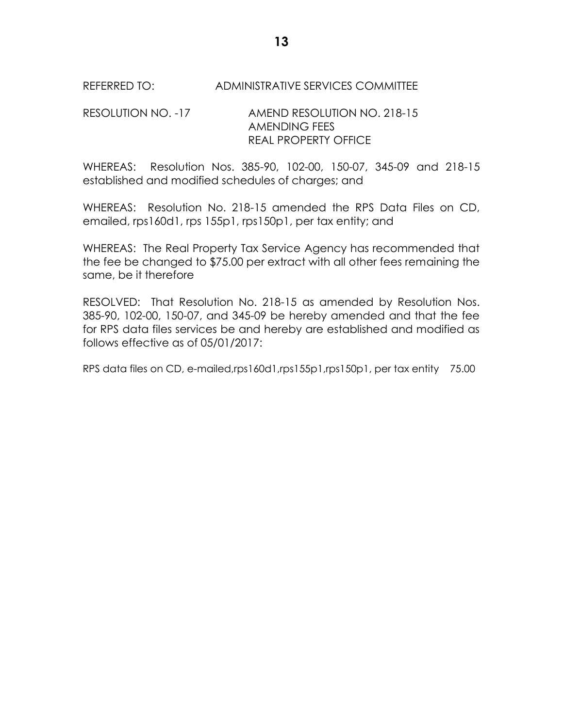# REFERRED TO: ADMINISTRATIVE SERVICES COMMITTEE

### RESOLUTION NO. -17 AMEND RESOLUTION NO. 218-15 AMENDING FEES REAL PROPERTY OFFICE

WHEREAS: Resolution Nos. 385-90, 102-00, 150-07, 345-09 and 218-15 established and modified schedules of charges; and

WHEREAS: Resolution No. 218-15 amended the RPS Data Files on CD, emailed, rps160d1, rps 155p1, rps150p1, per tax entity; and

WHEREAS: The Real Property Tax Service Agency has recommended that the fee be changed to \$75.00 per extract with all other fees remaining the same, be it therefore

RESOLVED: That Resolution No. 218-15 as amended by Resolution Nos. 385-90, 102-00, 150-07, and 345-09 be hereby amended and that the fee for RPS data files services be and hereby are established and modified as follows effective as of 05/01/2017:

RPS data files on CD, e-mailed,rps160d1,rps155p1,rps150p1, per tax entity 75.00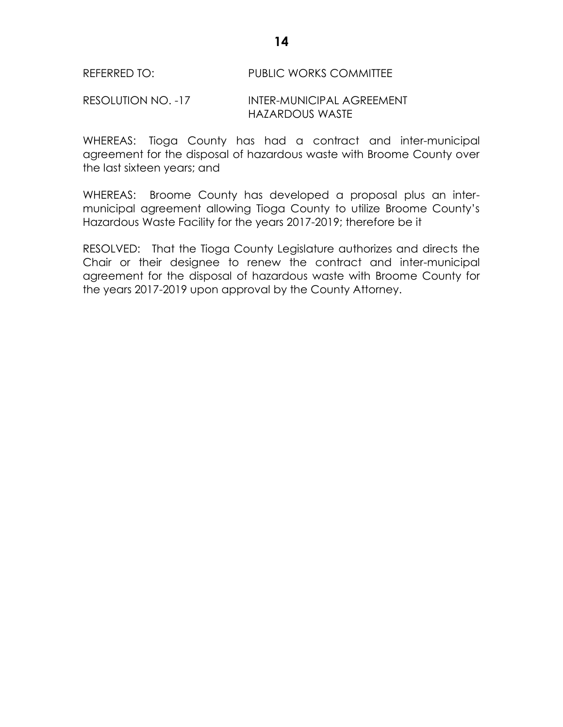#### REFERRED TO: PUBLIC WORKS COMMITTEE

#### RESOLUTION NO. -17 INTER-MUNICIPAL AGREEMENT HAZARDOUS WASTE

WHEREAS: Tioga County has had a contract and inter-municipal agreement for the disposal of hazardous waste with Broome County over the last sixteen years; and

WHEREAS: Broome County has developed a proposal plus an intermunicipal agreement allowing Tioga County to utilize Broome County's Hazardous Waste Facility for the years 2017-2019; therefore be it

RESOLVED: That the Tioga County Legislature authorizes and directs the Chair or their designee to renew the contract and inter-municipal agreement for the disposal of hazardous waste with Broome County for the years 2017-2019 upon approval by the County Attorney.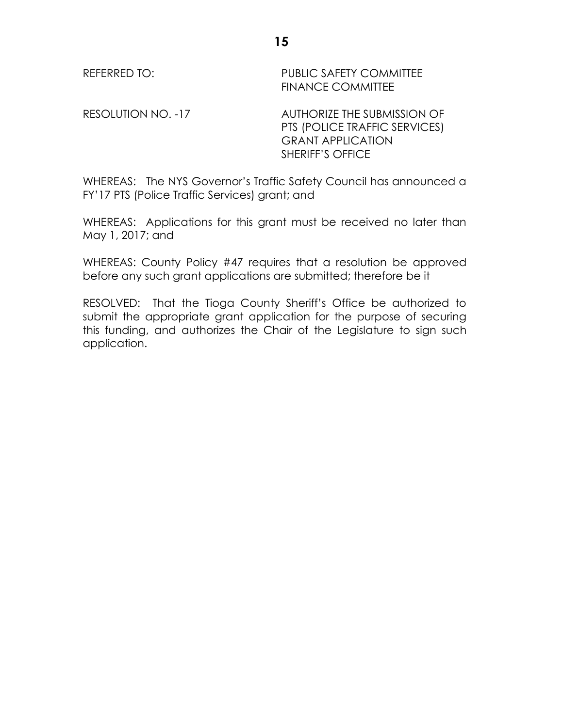REFERRED TO: PUBLIC SAFETY COMMITTEE FINANCE COMMITTEE

RESOLUTION NO. -17 AUTHORIZE THE SUBMISSION OF PTS (POLICE TRAFFIC SERVICES) GRANT APPLICATION SHERIFF'S OFFICE

WHEREAS: The NYS Governor's Traffic Safety Council has announced a FY'17 PTS (Police Traffic Services) grant; and

WHEREAS: Applications for this grant must be received no later than May 1, 2017; and

WHEREAS: County Policy #47 requires that a resolution be approved before any such grant applications are submitted; therefore be it

RESOLVED: That the Tioga County Sheriff's Office be authorized to submit the appropriate grant application for the purpose of securing this funding, and authorizes the Chair of the Legislature to sign such application.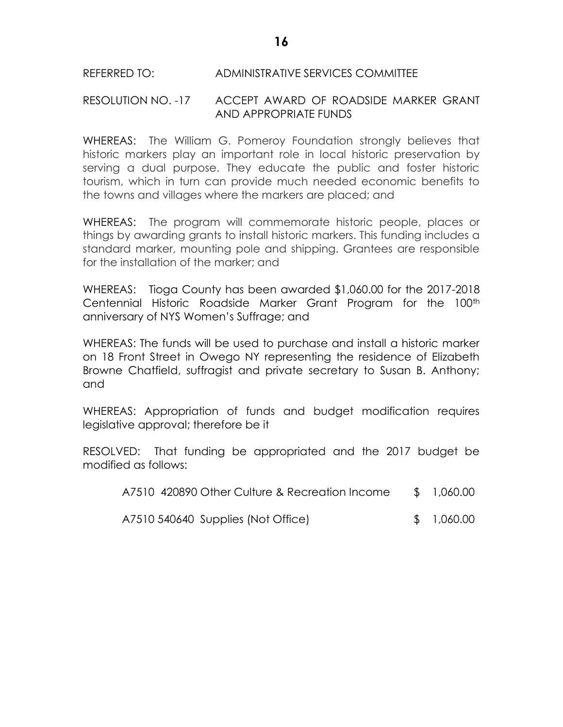# REFERRED TO: ADMINISTRATIVE SERVICES COMMITTEE

#### RESOLUTION NO. -17 ACCEPT AWARD OF ROADSIDE MARKER GRANT AND APPROPRIATE FUNDS

WHEREAS: The William G. Pomeroy Foundation strongly believes that historic markers play an important role in local historic preservation by serving a dual purpose. They educate the public and foster historic tourism, which in turn can provide much needed economic benefits to the towns and villages where the markers are placed; and

WHEREAS: The program will commemorate historic people, places or things by awarding grants to install historic markers. This funding includes a standard marker, mounting pole and shipping. Grantees are responsible for the installation of the marker; and

WHEREAS: Tioga County has been awarded \$1,060.00 for the 2017-2018 Centennial Historic Roadside Marker Grant Program for the 100<sup>th</sup> anniversary of NYS Women's Suffrage; and

WHEREAS: The funds will be used to purchase and install a historic marker on 18 Front Street in Owego NY representing the residence of Elizabeth Browne Chatfield, suffragist and private secretary to Susan B. Anthony; and

WHEREAS: Appropriation of funds and budget modification requires legislative approval; therefore be it

RESOLVED: That funding be appropriated and the 2017 budget be modified as follows:

| A7510 420890 Other Culture & Recreation Income |  | \$1,060.00 |
|------------------------------------------------|--|------------|
|------------------------------------------------|--|------------|

A7510 540640 Supplies (Not Office) \$ 1,060.00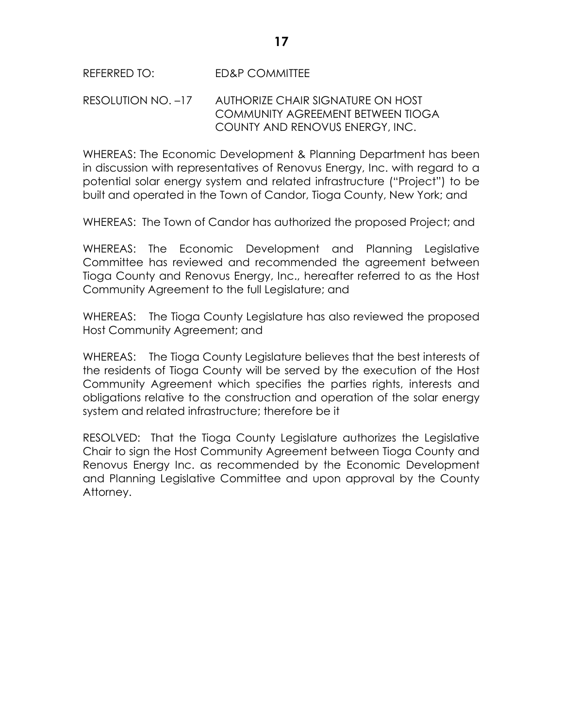REFERRED TO: ED&P COMMITTEE

RESOLUTION NO. –17 AUTHORIZE CHAIR SIGNATURE ON HOST COMMUNITY AGREEMENT BETWEEN TIOGA COUNTY AND RENOVUS ENERGY, INC.

WHEREAS: The Economic Development & Planning Department has been in discussion with representatives of Renovus Energy, Inc. with regard to a potential solar energy system and related infrastructure ("Project") to be built and operated in the Town of Candor, Tioga County, New York; and

WHEREAS: The Town of Candor has authorized the proposed Project; and

WHEREAS: The Economic Development and Planning Legislative Committee has reviewed and recommended the agreement between Tioga County and Renovus Energy, Inc., hereafter referred to as the Host Community Agreement to the full Legislature; and

WHEREAS: The Tioga County Legislature has also reviewed the proposed Host Community Agreement; and

WHEREAS: The Tioga County Legislature believes that the best interests of the residents of Tioga County will be served by the execution of the Host Community Agreement which specifies the parties rights, interests and obligations relative to the construction and operation of the solar energy system and related infrastructure; therefore be it

RESOLVED: That the Tioga County Legislature authorizes the Legislative Chair to sign the Host Community Agreement between Tioga County and Renovus Energy Inc. as recommended by the Economic Development and Planning Legislative Committee and upon approval by the County Attorney.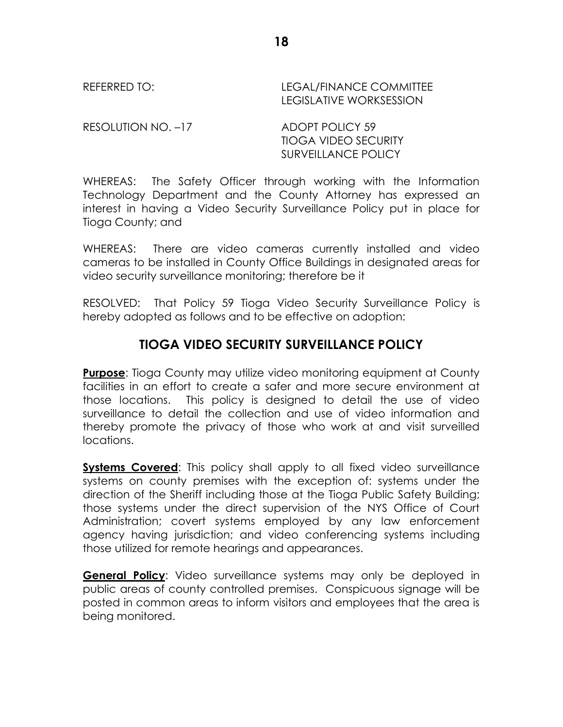REFERRED TO: LEGAL/FINANCE COMMITTEE LEGISLATIVE WORKSESSION

RESOLUTION NO. –17 ADOPT POLICY 59

TIOGA VIDEO SECURITY SURVEILLANCE POLICY

WHEREAS: The Safety Officer through working with the Information Technology Department and the County Attorney has expressed an interest in having a Video Security Surveillance Policy put in place for Tioga County; and

WHEREAS: There are video cameras currently installed and video cameras to be installed in County Office Buildings in designated areas for video security surveillance monitoring; therefore be it

RESOLVED: That Policy 59 Tioga Video Security Surveillance Policy is hereby adopted as follows and to be effective on adoption:

# **TIOGA VIDEO SECURITY SURVEILLANCE POLICY**

**Purpose**: Tioga County may utilize video monitoring equipment at County facilities in an effort to create a safer and more secure environment at those locations. This policy is designed to detail the use of video surveillance to detail the collection and use of video information and thereby promote the privacy of those who work at and visit surveilled locations.

**Systems Covered:** This policy shall apply to all fixed video surveillance systems on county premises with the exception of: systems under the direction of the Sheriff including those at the Tioga Public Safety Building; those systems under the direct supervision of the NYS Office of Court Administration; covert systems employed by any law enforcement agency having jurisdiction; and video conferencing systems including those utilized for remote hearings and appearances.

**General Policy**: Video surveillance systems may only be deployed in public areas of county controlled premises. Conspicuous signage will be posted in common areas to inform visitors and employees that the area is being monitored.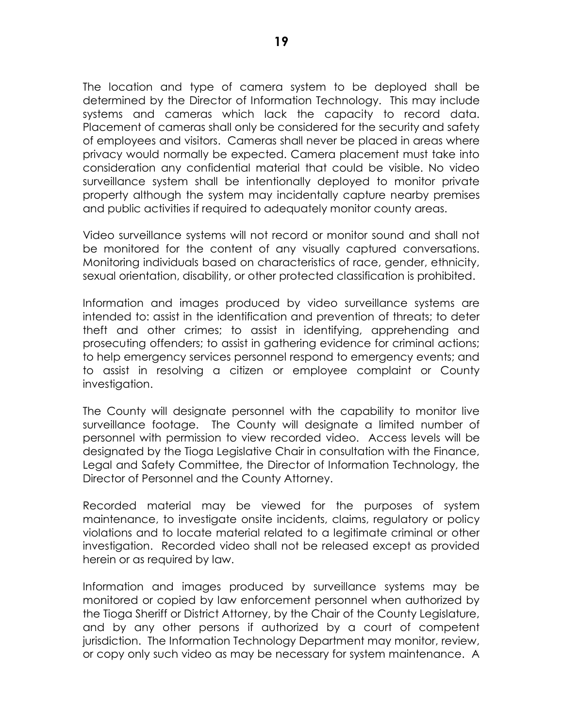The location and type of camera system to be deployed shall be determined by the Director of Information Technology. This may include systems and cameras which lack the capacity to record data. Placement of cameras shall only be considered for the security and safety of employees and visitors. Cameras shall never be placed in areas where privacy would normally be expected. Camera placement must take into consideration any confidential material that could be visible. No video surveillance system shall be intentionally deployed to monitor private property although the system may incidentally capture nearby premises and public activities if required to adequately monitor county areas.

Video surveillance systems will not record or monitor sound and shall not be monitored for the content of any visually captured conversations. Monitoring individuals based on characteristics of race, gender, ethnicity, sexual orientation, disability, or other protected classification is prohibited.

Information and images produced by video surveillance systems are intended to: assist in the identification and prevention of threats; to deter theft and other crimes; to assist in identifying, apprehending and prosecuting offenders; to assist in gathering evidence for criminal actions; to help emergency services personnel respond to emergency events; and to assist in resolving a citizen or employee complaint or County investigation.

The County will designate personnel with the capability to monitor live surveillance footage. The County will designate a limited number of personnel with permission to view recorded video. Access levels will be designated by the Tioga Legislative Chair in consultation with the Finance, Legal and Safety Committee, the Director of Information Technology, the Director of Personnel and the County Attorney.

Recorded material may be viewed for the purposes of system maintenance, to investigate onsite incidents, claims, regulatory or policy violations and to locate material related to a legitimate criminal or other investigation. Recorded video shall not be released except as provided herein or as required by law.

Information and images produced by surveillance systems may be monitored or copied by law enforcement personnel when authorized by the Tioga Sheriff or District Attorney, by the Chair of the County Legislature, and by any other persons if authorized by a court of competent jurisdiction. The Information Technology Department may monitor, review, or copy only such video as may be necessary for system maintenance. A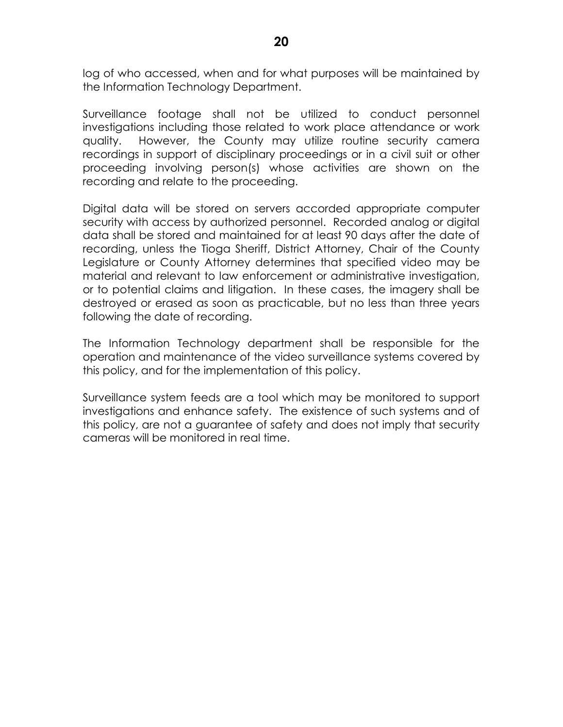log of who accessed, when and for what purposes will be maintained by the Information Technology Department.

Surveillance footage shall not be utilized to conduct personnel investigations including those related to work place attendance or work quality. However, the County may utilize routine security camera recordings in support of disciplinary proceedings or in a civil suit or other proceeding involving person(s) whose activities are shown on the recording and relate to the proceeding.

Digital data will be stored on servers accorded appropriate computer security with access by authorized personnel. Recorded analog or digital data shall be stored and maintained for at least 90 days after the date of recording, unless the Tioga Sheriff, District Attorney, Chair of the County Legislature or County Attorney determines that specified video may be material and relevant to law enforcement or administrative investigation, or to potential claims and litigation. In these cases, the imagery shall be destroyed or erased as soon as practicable, but no less than three years following the date of recording.

The Information Technology department shall be responsible for the operation and maintenance of the video surveillance systems covered by this policy, and for the implementation of this policy.

Surveillance system feeds are a tool which may be monitored to support investigations and enhance safety. The existence of such systems and of this policy, are not a guarantee of safety and does not imply that security cameras will be monitored in real time.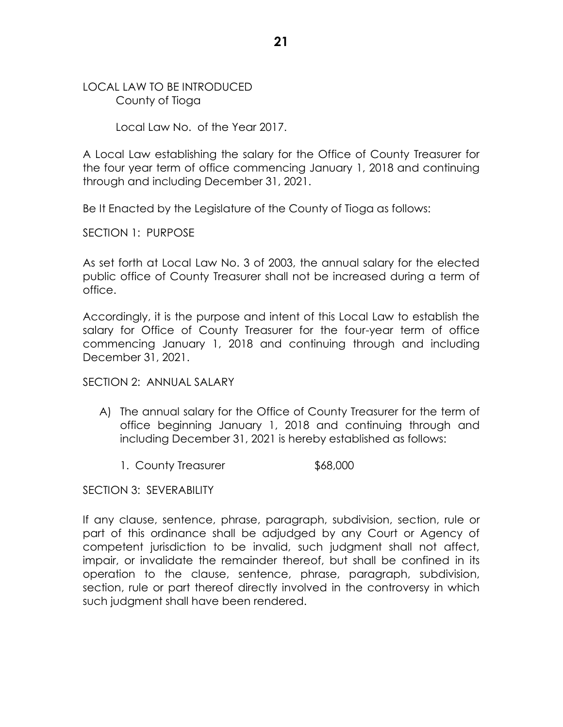LOCAL LAW TO BE INTRODUCED County of Tioga

Local Law No. of the Year 2017.

A Local Law establishing the salary for the Office of County Treasurer for the four year term of office commencing January 1, 2018 and continuing through and including December 31, 2021.

Be It Enacted by the Legislature of the County of Tioga as follows:

SECTION 1: PURPOSE

As set forth at Local Law No. 3 of 2003, the annual salary for the elected public office of County Treasurer shall not be increased during a term of office.

Accordingly, it is the purpose and intent of this Local Law to establish the salary for Office of County Treasurer for the four-year term of office commencing January 1, 2018 and continuing through and including December 31, 2021.

#### SECTION 2: ANNUAL SALARY

- A) The annual salary for the Office of County Treasurer for the term of office beginning January 1, 2018 and continuing through and including December 31, 2021 is hereby established as follows:
	- 1. County Treasurer \$68,000

SECTION 3: SEVERABILITY

If any clause, sentence, phrase, paragraph, subdivision, section, rule or part of this ordinance shall be adjudged by any Court or Agency of competent jurisdiction to be invalid, such judgment shall not affect, impair, or invalidate the remainder thereof, but shall be confined in its operation to the clause, sentence, phrase, paragraph, subdivision, section, rule or part thereof directly involved in the controversy in which such judgment shall have been rendered.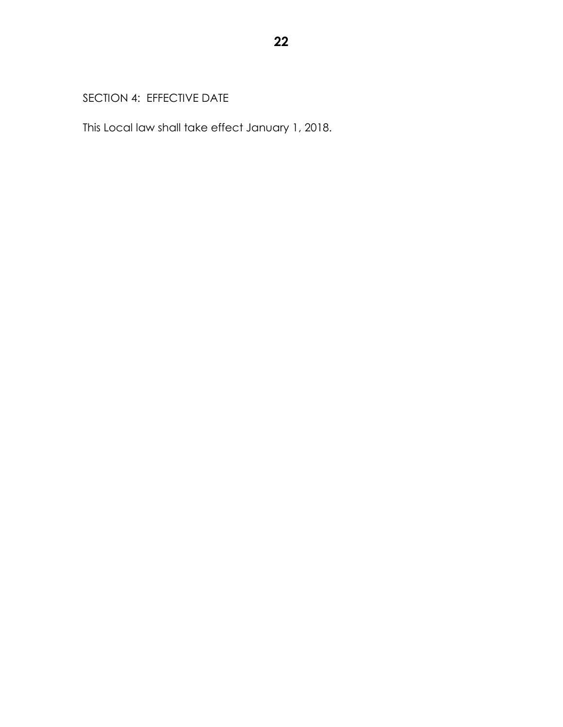# SECTION 4: EFFECTIVE DATE

This Local law shall take effect January 1, 2018.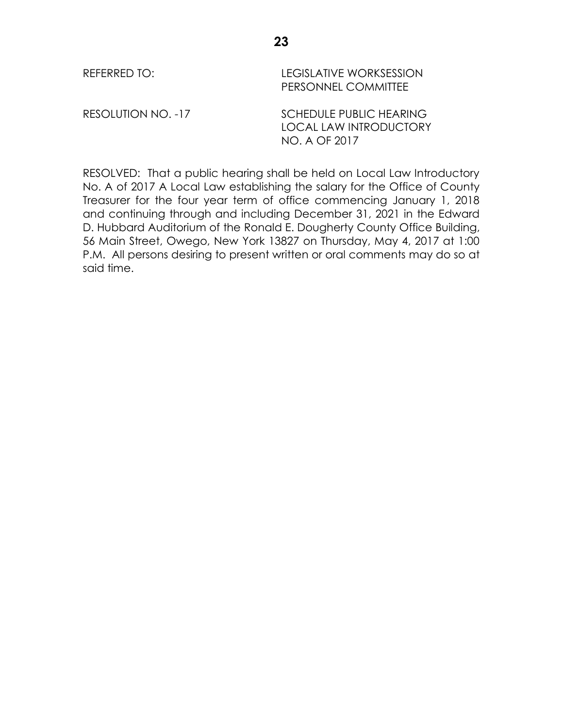| REFERRED TO:       | LEGISLATIVE WORKSESSION<br>PERSONNEL COMMITTEE                            |
|--------------------|---------------------------------------------------------------------------|
| RESOLUTION NO. -17 | <b>SCHEDULE PUBLIC HEARING</b><br>LOCAL LAW INTRODUCTORY<br>NO. A OF 2017 |

RESOLVED: That a public hearing shall be held on Local Law Introductory No. A of 2017 A Local Law establishing the salary for the Office of County Treasurer for the four year term of office commencing January 1, 2018 and continuing through and including December 31, 2021 in the Edward D. Hubbard Auditorium of the Ronald E. Dougherty County Office Building, 56 Main Street, Owego, New York 13827 on Thursday, May 4, 2017 at 1:00 P.M. All persons desiring to present written or oral comments may do so at said time.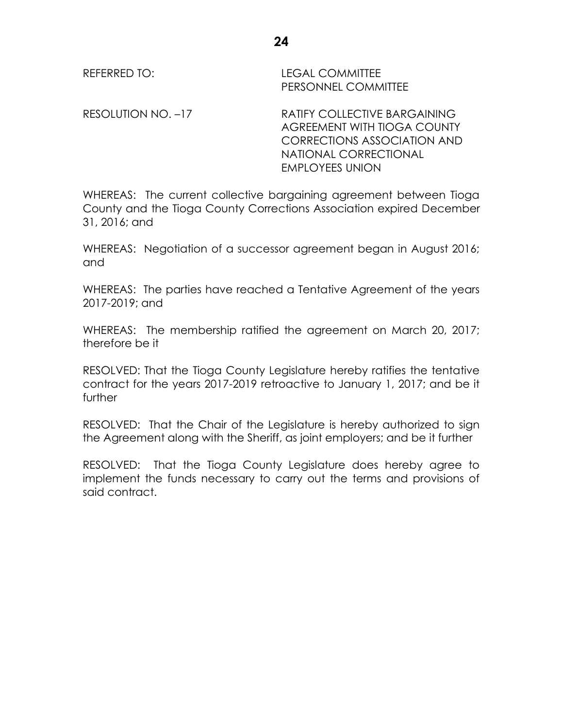REFERRED TO: LEGAL COMMITTEE PERSONNEL COMMITTEE

RESOLUTION NO. -17 RATIFY COLLECTIVE BARGAINING AGREEMENT WITH TIOGA COUNTY CORRECTIONS ASSOCIATION AND NATIONAL CORRECTIONAL EMPLOYEES UNION

WHEREAS: The current collective bargaining agreement between Tioga County and the Tioga County Corrections Association expired December 31, 2016; and

WHEREAS: Negotiation of a successor agreement began in August 2016; and

WHEREAS: The parties have reached a Tentative Agreement of the years 2017-2019; and

WHEREAS: The membership ratified the agreement on March 20, 2017; therefore be it

RESOLVED: That the Tioga County Legislature hereby ratifies the tentative contract for the years 2017-2019 retroactive to January 1, 2017; and be it further

RESOLVED: That the Chair of the Legislature is hereby authorized to sign the Agreement along with the Sheriff, as joint employers; and be it further

RESOLVED: That the Tioga County Legislature does hereby agree to implement the funds necessary to carry out the terms and provisions of said contract.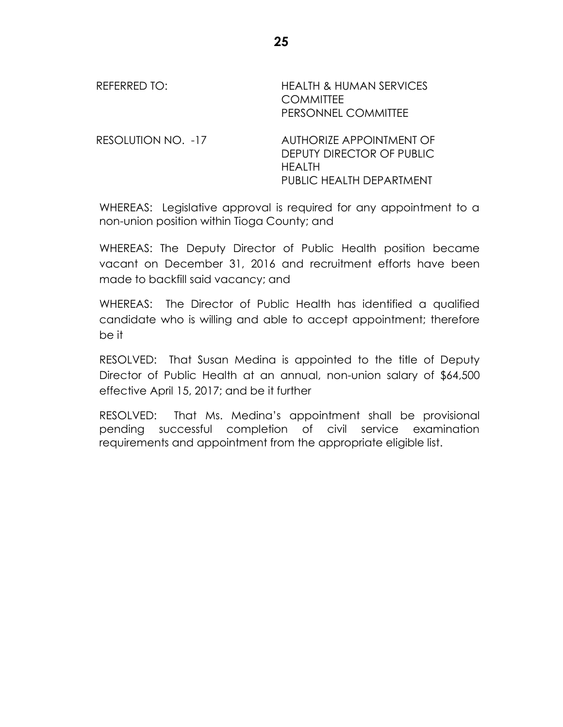| REFERRED TO:              | <b>HEALTH &amp; HUMAN SERVICES</b><br><b>COMMITTEE</b><br>PERSONNEL COMMITTEE                      |
|---------------------------|----------------------------------------------------------------------------------------------------|
| <b>RESOLUTION NO. -17</b> | AUTHORIZE APPOINTMENT OF<br>DEPUTY DIRECTOR OF PUBLIC<br><b>HEALTH</b><br>PUBLIC HEALTH DEPARTMENT |

WHEREAS: Legislative approval is required for any appointment to a non-union position within Tioga County; and

WHEREAS: The Deputy Director of Public Health position became vacant on December 31, 2016 and recruitment efforts have been made to backfill said vacancy; and

WHEREAS: The Director of Public Health has identified a qualified candidate who is willing and able to accept appointment; therefore be it

RESOLVED: That Susan Medina is appointed to the title of Deputy Director of Public Health at an annual, non-union salary of \$64,500 effective April 15, 2017; and be it further

RESOLVED: That Ms. Medina's appointment shall be provisional pending successful completion of civil service examination requirements and appointment from the appropriate eligible list.